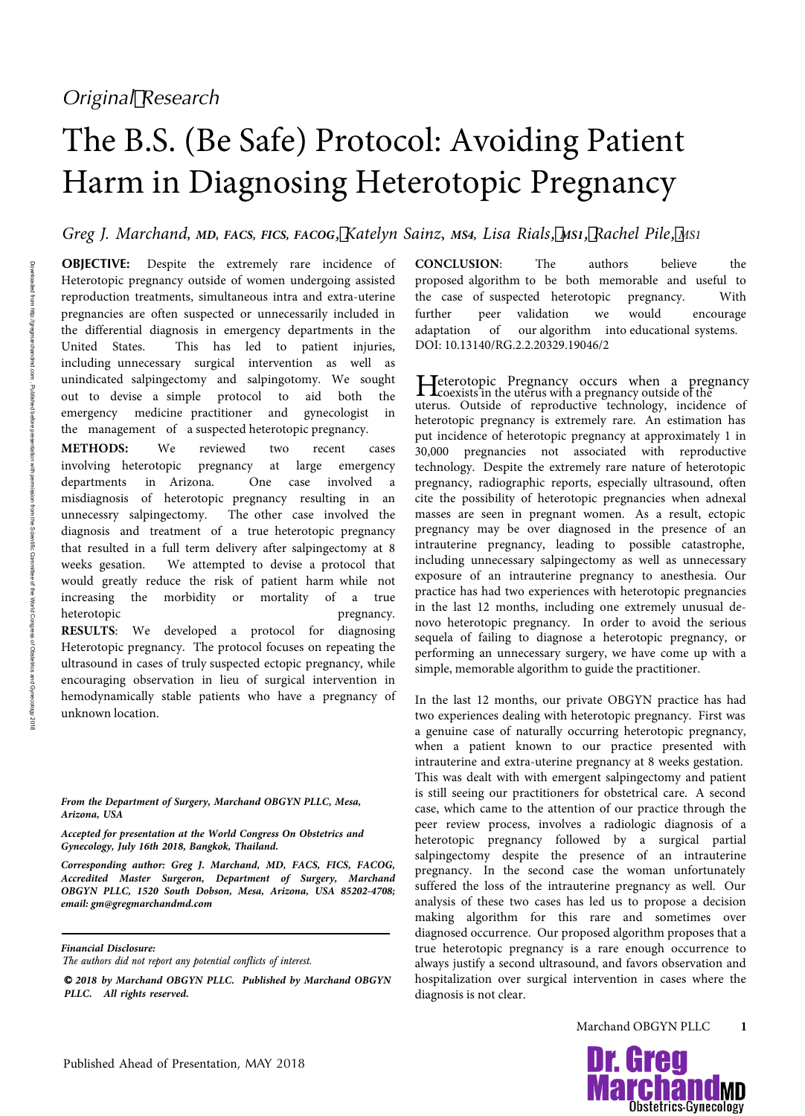## The B.S. (Be Safe) Protocol: Avoiding Patient Harm in Diagnosing Heterotopic Pregnancy

*Greg J. Marchand, MD, FACS, FICS, FACOG*, *Katelyn Sainz*, *MS4, Lisa Rials*, *MS1*, *Rachel Pile*, *MS1*

**OBJECTIVE:** Despite the extremely rare incidence of Heterotopic pregnancy outside of women undergoing assisted reproduction treatments, simultaneous intra and extra-uterine pregnancies are often suspected or unnecessarily included in the differential diagnosis in emergency departments in the United States. This has led to patient injuries, including unnecessary surgical intervention as well as unindicated salpingectomy and salpingotomy. We sought out to devise a simple protocol to aid both the emergency medicine practitioner and gynecologist in the management of a suspected heterotopic pregnancy.

**METHODS**: We reviewed two recent cases involving heterotopic pregnancy at large emergency departments in Arizona. One case involved a misdiagnosis of heterotopic pregnancy resulting in an unnecessry salpingectomy. The other case involved the diagnosis and treatment of a true heterotopic pregnancy that resulted in a full term delivery after salpingectomy at 8 weeks gesation. We attempted to devise a protocol that would greatly reduce the risk of patient harm while not increasing the morbidity or mortality of a true heterotopic pregnancy. **RESULTS**: We developed a protocol for diagnosing Heterotopic pregnancy. The protocol focuses on repeating the ultrasound in cases of truly suspected ectopic pregnancy, while encouraging observation in lieu of surgical intervention in hemodynamically stable patients who have a pregnancy of unknown location.

*From the Department of Surgery, Marchand OBGYN PLLC, Mesa, Arizona, USA*

*Accepted for presentation at the World Congress On Obstetrics and Gynecology, July 16th 2018, Bangkok, Thailand.*

*Corresponding author: Greg J. Marchand, MD, FACS, FICS, FACOG, Accredited Master Surgeron, Department of Surgery, Marchand OBGYN PLLC, 1520 South Dobson, Mesa, Arizona, USA 85202-4708; email: gm@gregmarchandmd.com*

*Financial Disclosure:* 

The authors did not report any potential conflicts of interest.

© *2018 by Marchand OBGYN PLLC. Published by Marchand OBGYN PLLC. All rights reserved.*

**CONCLUSION**: The authors believe the proposed algorithm to be both memorable and useful to the case of suspected heterotopic pregnancy. With further peer validation we would encourage adaptation of our algorithm into educational systems. DOI: 10.13140/RG.2.2.20329.19046/2

Heterotopic Pregnancy occurs when a pregnancy<br>coexists in the uterus with a pregnancy outside of the<br>coexists of the definition technology insidered of uterus. Outside of reproductive technology, incidence of heterotopic pregnancy is extremely rare. An estimation has put incidence of heterotopic pregnancy at approximately 1 in 30,000 pregnancies not associated with reproductive technology. Despite the extremely rare nature of heterotopic pregnancy, radiographic reports, especially ultrasound, often cite the possibility of heterotopic pregnancies when adnexal masses are seen in pregnant women. As a result, ectopic pregnancy may be over diagnosed in the presence of an intrauterine pregnancy, leading to possible catastrophe, including unnecessary salpingectomy as well as unnecessary exposure of an intrauterine pregnancy to anesthesia. Our practice has had two experiences with heterotopic pregnancies in the last 12 months, including one extremely unusual denovo heterotopic pregnancy. In order to avoid the serious sequela of failing to diagnose a heterotopic pregnancy, or performing an unnecessary surgery, we have come up with a simple, memorable algorithm to guide the practitioner.

In the last 12 months, our private OBGYN practice has had two experiences dealing with heterotopic pregnancy. First was a genuine case of naturally occurring heterotopic pregnancy, when a patient known to our practice presented with intrauterine and extra-uterine pregnancy at 8 weeks gestation. This was dealt with with emergent salpingectomy and patient is still seeing our practitioners for obstetrical care. A second case, which came to the attention of our practice through the peer review process, involves a radiologic diagnosis of a heterotopic pregnancy followed by a surgical partial salpingectomy despite the presence of an intrauterine pregnancy. In the second case the woman unfortunately suffered the loss of the intrauterine pregnancy as well. Our analysis of these two cases has led us to propose a decision making algorithm for this rare and sometimes over diagnosed occurrence. Our proposed algorithm proposes that a true heterotopic pregnancy is a rare enough occurrence to always justify a second ultrasound, and favors observation and hospitalization over surgical intervention in cases where the diagnosis is not clear.

Marchand OBGYN PLLC **1**